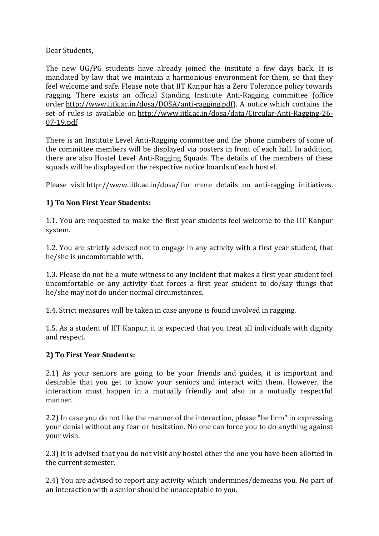Dear Students,

The new UG/PG students have already joined the institute a few days back. It is mandated by law that we maintain a harmonious environment for them, so that they feel welcome and safe. Please note that IIT Kanpur has a Zero Tolerance policy towards ragging. There exists an official Standing Institute Anti-Ragging committee (office order [http://www.iitk.ac.in/dosa/DOSA/anti-ragging.pdf\)](http://www.iitk.ac.in/dosa/DOSA/anti-ragging.pdf). A notice which contains the set of rules is available on [http://www.iitk.ac.in/dosa/data/Circular-Anti-Ragging-26-](http://www.iitk.ac.in/dosa/data/Circular-Anti-Ragging-26-07-19.pdf) [07-19.pdf](http://www.iitk.ac.in/dosa/data/Circular-Anti-Ragging-26-07-19.pdf)

There is an Institute Level Anti-Ragging committee and the phone numbers of some of the committee members will be displayed via posters in front of each hall. In addition, there are also Hostel Level Anti-Ragging Squads. The details of the members of these squads will be displayed on the respective notice boards of each hostel.

Please visit <http://www.iitk.ac.in/dosa/> for more details on anti-ragging initiatives.

## **1) To Non First Year Students:**

1.1. You are requested to make the first year students feel welcome to the IIT Kanpur system.

1.2. You are strictly advised not to engage in any activity with a first year student, that he/she is uncomfortable with.

1.3. Please do not be a mute witness to any incident that makes a first year student feel uncomfortable or any activity that forces a first year student to do/say things that he/she may not do under normal circumstances.

1.4. Strict measures will be taken in case anyone is found involved in ragging.

1.5. As a student of IIT Kanpur, it is expected that you treat all individuals with dignity and respect.

## **2) To First Year Students:**

2.1) As your seniors are going to be your friends and guides, it is important and desirable that you get to know your seniors and interact with them. However, the interaction must happen in a mutually friendly and also in a mutually respectful manner.

2.2) In case you do not like the manner of the interaction, please "be firm" in expressing your denial without any fear or hesitation. No one can force you to do anything against your wish.

2.3) It is advised that you do not visit any hostel other the one you have been allotted in the current semester.

2.4) You are advised to report any activity which undermines/demeans you. No part of an interaction with a senior should be unacceptable to you.